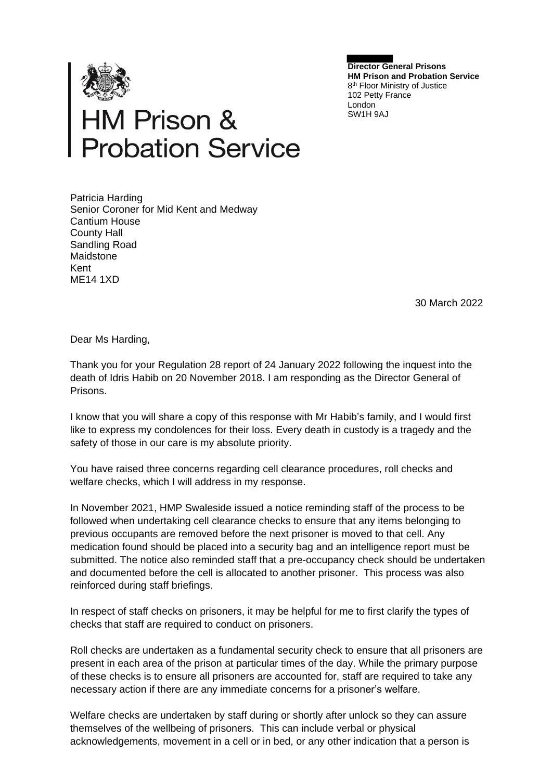

**Director General Prisons HM Prison and Probation Service** 8<sup>th</sup> Floor Ministry of Justice 102 Petty France London SW1H 9AJ

## **HM Prison &<br>Probation Service**

Patricia Harding Senior Coroner for Mid Kent and Medway Cantium House County Hall Sandling Road Maidstone Kent ME14 1XD

30 March 2022

Dear Ms Harding,

Thank you for your Regulation 28 report of 24 January 2022 following the inquest into the death of Idris Habib on 20 November 2018. I am responding as the Director General of Prisons.

I know that you will share a copy of this response with Mr Habib's family, and I would first like to express my condolences for their loss. Every death in custody is a tragedy and the safety of those in our care is my absolute priority.

You have raised three concerns regarding cell clearance procedures, roll checks and welfare checks, which I will address in my response.

In November 2021, HMP Swaleside issued a notice reminding staff of the process to be followed when undertaking cell clearance checks to ensure that any items belonging to previous occupants are removed before the next prisoner is moved to that cell. Any medication found should be placed into a security bag and an intelligence report must be submitted. The notice also reminded staff that a pre-occupancy check should be undertaken and documented before the cell is allocated to another prisoner. This process was also reinforced during staff briefings.

In respect of staff checks on prisoners, it may be helpful for me to first clarify the types of checks that staff are required to conduct on prisoners.

Roll checks are undertaken as a fundamental security check to ensure that all prisoners are present in each area of the prison at particular times of the day. While the primary purpose of these checks is to ensure all prisoners are accounted for, staff are required to take any necessary action if there are any immediate concerns for a prisoner's welfare.

Welfare checks are undertaken by staff during or shortly after unlock so they can assure themselves of the wellbeing of prisoners. This can include verbal or physical acknowledgements, movement in a cell or in bed, or any other indication that a person is